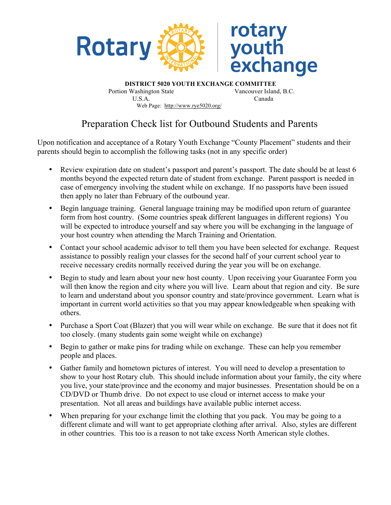

**DISTRICT 5020 YOUTH EXCHANGE COMMITTEE** Portion Washington State Vancouver Island, B.C. U.S.A. Canada Web Page: http://www.rye5020.org/

## Preparation Check list for Outbound Students and Parents

Upon notification and acceptance of a Rotary Youth Exchange "County Placement" students and their parents should begin to accomplish the following tasks (not in any specific order)

- Review expiration date on student's passport and parent's passport. The date should be at least 6 months beyond the expected return date of student from exchange. Parent passport is needed in case of emergency involving the student while on exchange. If no passports have been issued then apply no later than February of the outbound year.
- Begin language training. General language training may be modified upon return of guarantee form from host country. (Some countries speak different languages in different regions) You will be expected to introduce yourself and say where you will be exchanging in the language of your host country when attending the March Training and Orientation.
- Contact your school academic advisor to tell them you have been selected for exchange. Request assistance to possibly realign your classes for the second half of your current school year to receive necessary credits normally received during the year you will be on exchange.
- Begin to study and learn about your new host county. Upon receiving your Guarantee Form you will then know the region and city where you will live. Learn about that region and city. Be sure to learn and understand about you sponsor country and state/province government. Learn what is important in current world activities so that you may appear knowledgeable when speaking with others.
- Purchase a Sport Coat (Blazer) that you will wear while on exchange. Be sure that it does not fit too closely. (many students gain some weight while on exchange)
- Begin to gather or make pins for trading while on exchange. These can help you remember people and places.
- Gather family and hometown pictures of interest. You will need to develop a presentation to show to your host Rotary club. This should include information about your family, the city where you live, your state/province and the economy and major businesses. Presentation should be on a CD/DVD or Thumb drive. Do not expect to use cloud or internet access to make your presentation. Not all areas and buildings have available public internet access.
- When preparing for your exchange limit the clothing that you pack. You may be going to a different climate and will want to get appropriate clothing after arrival. Also, styles are different in other countries. This too is a reason to not take excess North American style clothes.